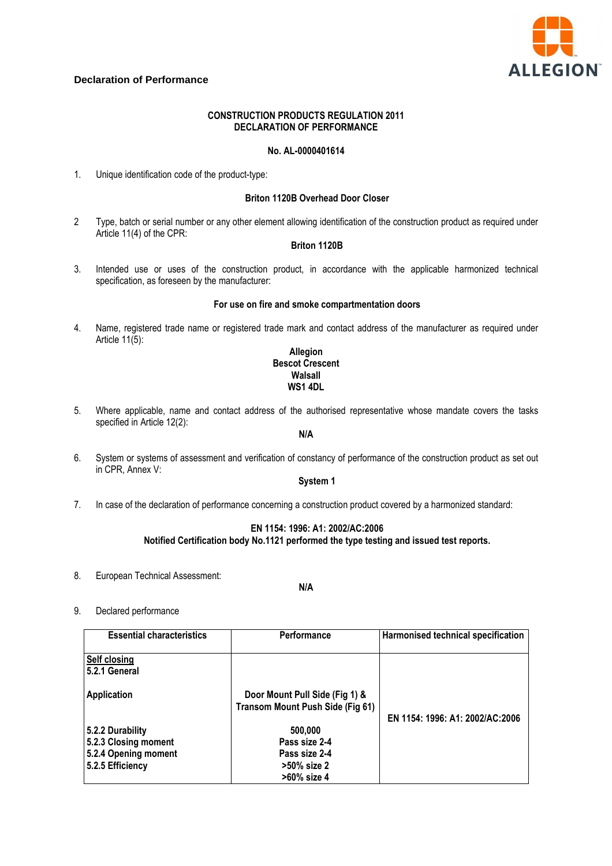

# **Declaration of Performance**

## **CONSTRUCTION PRODUCTS REGULATION 2011 DECLARATION OF PERFORMANCE**

## **No. AL-0000401614**

1. Unique identification code of the product-type:

#### **Briton 1120B Overhead Door Closer**

2 Type, batch or serial number or any other element allowing identification of the construction product as required under Article 11(4) of the CPR:

### **Briton 1120B**

3. Intended use or uses of the construction product, in accordance with the applicable harmonized technical specification, as foreseen by the manufacturer:

#### **For use on fire and smoke compartmentation doors**

4. Name, registered trade name or registered trade mark and contact address of the manufacturer as required under Article 11(5):

### **Allegion Bescot Crescent Walsall WS1 4DL**

5. Where applicable, name and contact address of the authorised representative whose mandate covers the tasks specified in Article 12(2):

### **N/A**

6. System or systems of assessment and verification of constancy of performance of the construction product as set out in CPR, Annex V:

#### **System 1**

7. In case of the declaration of performance concerning a construction product covered by a harmonized standard:

### **EN 1154: 1996: A1: 2002/AC:2006 Notified Certification body No.1121 performed the type testing and issued test reports.**

8. European Technical Assessment:

**N/A** 

9. Declared performance

| <b>Essential characteristics</b>     | Performance                                                               | Harmonised technical specification |
|--------------------------------------|---------------------------------------------------------------------------|------------------------------------|
| <b>Self closing</b><br>5.2.1 General |                                                                           |                                    |
| <b>Application</b>                   | Door Mount Pull Side (Fig 1) &<br><b>Transom Mount Push Side (Fig 61)</b> |                                    |
| 5.2.2 Durability                     | 500,000                                                                   | EN 1154: 1996: A1: 2002/AC:2006    |
|                                      | Pass size 2-4                                                             |                                    |
| 5.2.3 Closing moment                 |                                                                           |                                    |
| 5.2.4 Opening moment                 | Pass size 2-4                                                             |                                    |
| 5.2.5 Efficiency                     | >50% size 2                                                               |                                    |
|                                      | >60% size 4                                                               |                                    |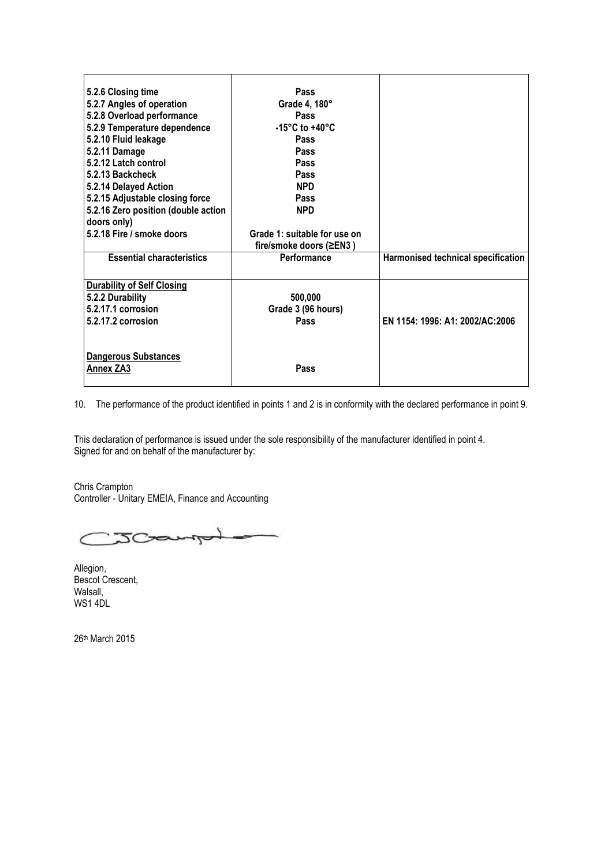| 5.2.6 Closing time<br>5.2.7 Angles of operation<br>5.2.8 Overload performance | <b>Pass</b><br>Grade 4, 180°<br><b>Pass</b>             |                                    |
|-------------------------------------------------------------------------------|---------------------------------------------------------|------------------------------------|
| 5.2.9 Temperature dependence<br>5.2.10 Fluid leakage                          | -15 $\degree$ C to +40 $\degree$ C<br>Pass              |                                    |
| 5.2.11 Damage                                                                 | Pass                                                    |                                    |
| 5.2.12 Latch control                                                          | Pass                                                    |                                    |
| 5.2.13 Backcheck                                                              | <b>Pass</b>                                             |                                    |
| 5.2.14 Delayed Action                                                         | <b>NPD</b>                                              |                                    |
| 5.2.15 Adjustable closing force                                               | Pass                                                    |                                    |
| 5.2.16 Zero position (double action                                           | <b>NPD</b>                                              |                                    |
| doors only)                                                                   |                                                         |                                    |
| 5.2.18 Fire / smoke doors                                                     | Grade 1: suitable for use on<br>fire/smoke doors (≥EN3) |                                    |
| <b>Essential characteristics</b>                                              | Performance                                             | Harmonised technical specification |
| <b>Durability of Self Closing</b>                                             |                                                         |                                    |
| 5.2.2 Durability                                                              | 500,000                                                 |                                    |
| 5.2.17.1 corrosion                                                            | Grade 3 (96 hours)                                      |                                    |
| 5.2.17.2 corrosion                                                            | Pass                                                    | EN 1154: 1996: A1: 2002/AC:2006    |
|                                                                               |                                                         |                                    |
| <b>Dangerous Substances</b><br>Annex ZA3                                      | Pass                                                    |                                    |

10. The performance of the product identified in points 1 and 2 is in conformity with the declared performance in point 9.

This declaration of performance is issued under the sole responsibility of the manufacturer identified in point 4. Signed for and on behalf of the manufacturer by:

Chris Crampton Controller - Unitary EMEIA, Finance and Accounting

JCampy

Allegion, Bescot Crescent, Walsall, WS1 4DL

26th March 2015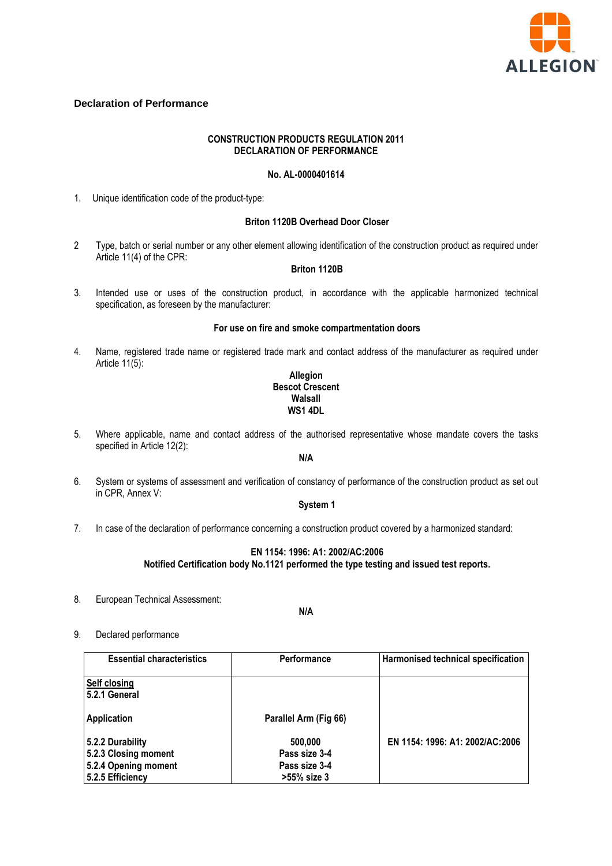

# **Declaration of Performance**

## **CONSTRUCTION PRODUCTS REGULATION 2011 DECLARATION OF PERFORMANCE**

# **No. AL-0000401614**

1. Unique identification code of the product-type:

#### **Briton 1120B Overhead Door Closer**

2 Type, batch or serial number or any other element allowing identification of the construction product as required under Article 11(4) of the CPR:

# **Briton 1120B**

3. Intended use or uses of the construction product, in accordance with the applicable harmonized technical specification, as foreseen by the manufacturer:

#### **For use on fire and smoke compartmentation doors**

4. Name, registered trade name or registered trade mark and contact address of the manufacturer as required under Article 11(5):

#### **Allegion Bescot Crescent Walsall WS1 4DL**

5. Where applicable, name and contact address of the authorised representative whose mandate covers the tasks specified in Article 12(2):

# **N/A**

6. System or systems of assessment and verification of constancy of performance of the construction product as set out in CPR, Annex V:

## **System 1**

7. In case of the declaration of performance concerning a construction product covered by a harmonized standard:

### **EN 1154: 1996: A1: 2002/AC:2006 Notified Certification body No.1121 performed the type testing and issued test reports.**

8. European Technical Assessment:

#### **N/A**

9. Declared performance

| <b>Essential characteristics</b> | <b>Performance</b>    | Harmonised technical specification |
|----------------------------------|-----------------------|------------------------------------|
| Self closing<br>5.2.1 General    |                       |                                    |
| Application                      | Parallel Arm (Fig 66) |                                    |
| 5.2.2 Durability                 | 500,000               | EN 1154: 1996: A1: 2002/AC:2006    |
| 5.2.3 Closing moment             | Pass size 3-4         |                                    |
| 5.2.4 Opening moment             | Pass size 3-4         |                                    |
| 5.2.5 Efficiency                 | >55% size 3           |                                    |